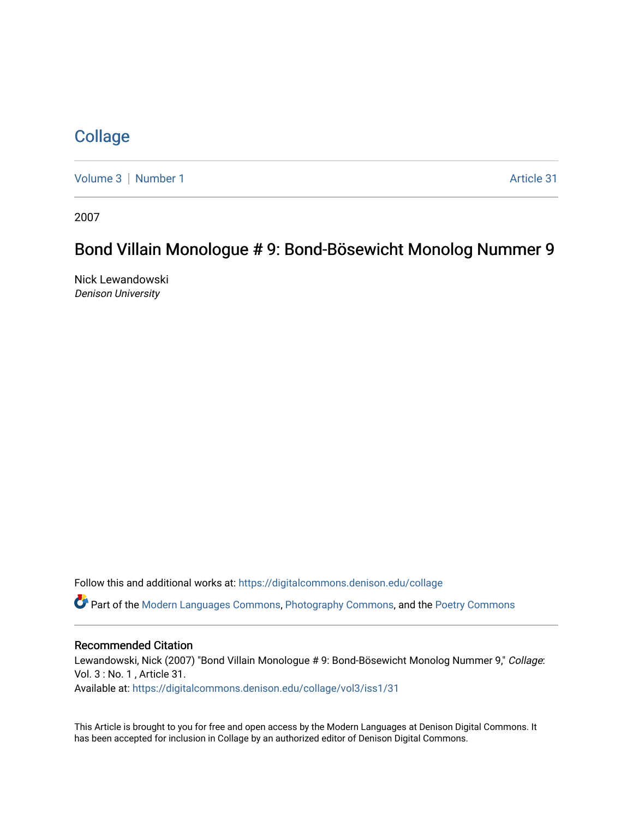## **[Collage](https://digitalcommons.denison.edu/collage)**

[Volume 3](https://digitalcommons.denison.edu/collage/vol3) | [Number 1](https://digitalcommons.denison.edu/collage/vol3/iss1) Article 31

2007

# Bond Villain Monologue # 9: Bond-Bösewicht Monolog Nummer 9

Nick Lewandowski Denison University

Follow this and additional works at: [https://digitalcommons.denison.edu/collage](https://digitalcommons.denison.edu/collage?utm_source=digitalcommons.denison.edu%2Fcollage%2Fvol3%2Fiss1%2F31&utm_medium=PDF&utm_campaign=PDFCoverPages) 

Part of the [Modern Languages Commons,](http://network.bepress.com/hgg/discipline/1130?utm_source=digitalcommons.denison.edu%2Fcollage%2Fvol3%2Fiss1%2F31&utm_medium=PDF&utm_campaign=PDFCoverPages) [Photography Commons](http://network.bepress.com/hgg/discipline/1142?utm_source=digitalcommons.denison.edu%2Fcollage%2Fvol3%2Fiss1%2F31&utm_medium=PDF&utm_campaign=PDFCoverPages), and the [Poetry Commons](http://network.bepress.com/hgg/discipline/1153?utm_source=digitalcommons.denison.edu%2Fcollage%2Fvol3%2Fiss1%2F31&utm_medium=PDF&utm_campaign=PDFCoverPages)

#### Recommended Citation

Lewandowski, Nick (2007) "Bond Villain Monologue # 9: Bond-Bösewicht Monolog Nummer 9," Collage: Vol. 3 : No. 1 , Article 31.

Available at: [https://digitalcommons.denison.edu/collage/vol3/iss1/31](https://digitalcommons.denison.edu/collage/vol3/iss1/31?utm_source=digitalcommons.denison.edu%2Fcollage%2Fvol3%2Fiss1%2F31&utm_medium=PDF&utm_campaign=PDFCoverPages)

This Article is brought to you for free and open access by the Modern Languages at Denison Digital Commons. It has been accepted for inclusion in Collage by an authorized editor of Denison Digital Commons.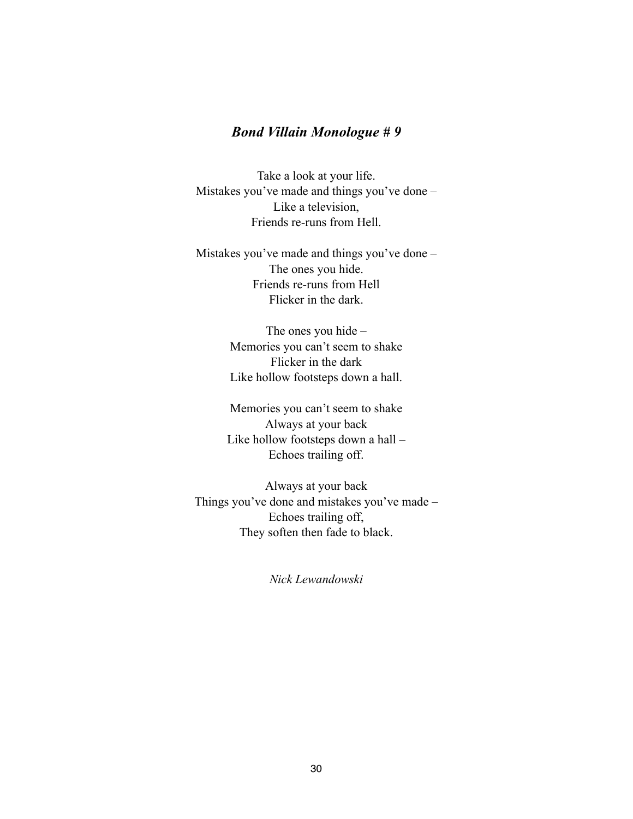### *Bond Villain Monologue # 9*

Take a look at your life. Mistakes you've made and things you've done – Like a television, Friends re-runs from Hell.

Mistakes you've made and things you've done – The ones you hide. Friends re-runs from Hell Flicker in the dark.

> The ones you hide – Memories you can't seem to shake Flicker in the dark Like hollow footsteps down a hall.

Memories you can't seem to shake Always at your back Like hollow footsteps down a hall – Echoes trailing off.

Always at your back Things you've done and mistakes you've made – Echoes trailing off, They soften then fade to black.

*Nick Lewandowski*